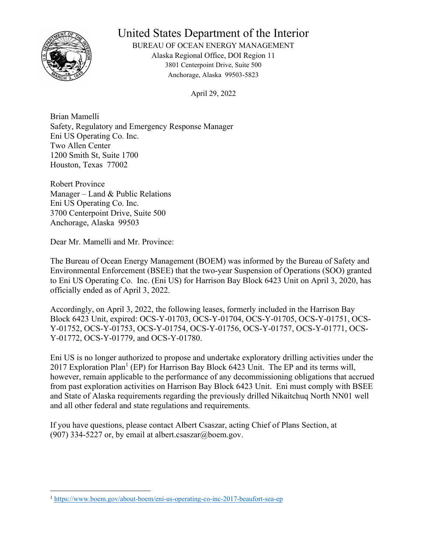

## United States Department of the Interior

BUREAU OF OCEAN ENERGY MANAGEMENT Alaska Regional Office, DOI Region 11 3801 Centerpoint Drive, Suite 500 Anchorage, Alaska 99503-5823

April 29, 2022

Brian Mamelli Safety, Regulatory and Emergency Response Manager Eni US Operating Co. Inc. Two Allen Center 1200 Smith St, Suite 1700 Houston, Texas 77002

Robert Province Manager – Land & Public Relations Eni US Operating Co. Inc. 3700 Centerpoint Drive, Suite 500 Anchorage, Alaska 99503

Dear Mr. Mamelli and Mr. Province:

The Bureau of Ocean Energy Management (BOEM) was informed by the Bureau of Safety and Environmental Enforcement (BSEE) that the two-year Suspension of Operations (SOO) granted to Eni US Operating Co. Inc. (Eni US) for Harrison Bay Block 6423 Unit on April 3, 2020, has officially ended as of April 3, 2022.

Accordingly, on April 3, 2022, the following leases, formerly included in the Harrison Bay Block 6423 Unit, expired: OCS-Y-01703, OCS-Y-01704, OCS-Y-01705, OCS-Y-01751, OCS-Y-01752, OCS-Y-01753, OCS-Y-01754, OCS-Y-01756, OCS-Y-01757, OCS-Y-01771, OCS-Y-01772, OCS-Y-01779, and OCS-Y-01780.

Eni US is no longer authorized to propose and undertake exploratory drilling activities under the 2017 Exploration Plan<sup>1</sup> (EP) for Harrison Bay Block 6423 Unit. The EP and its terms will, however, remain applicable to the performance of any decommissioning obligations that accrued from past exploration activities on Harrison Bay Block 6423 Unit. Eni must comply with BSEE and State of Alaska requirements regarding the previously drilled Nikaitchuq North NN01 well and all other federal and state regulations and requirements.

If you have questions, please contact Albert Csaszar, acting Chief of Plans Section, at (907) 334-5227 or, by email at albert.csaszar@boem.gov.

<sup>1</sup> <https://www.boem.gov/about-boem/eni-us-operating-co-inc-2017-beaufort-sea-ep>